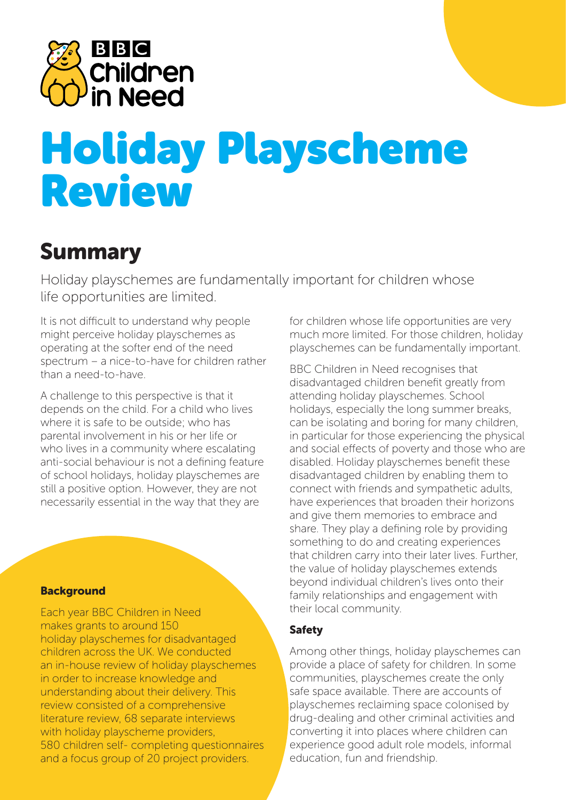

# Holiday Playscheme Review

# Summary

Holiday playschemes are fundamentally important for children whose life opportunities are limited.

It is not difficult to understand why people might perceive holiday playschemes as operating at the softer end of the need spectrum – a nice-to-have for children rather than a need-to-have.

A challenge to this perspective is that it depends on the child. For a child who lives where it is safe to be outside; who has parental involvement in his or her life or who lives in a community where escalating anti-social behaviour is not a defining feature of school holidays, holiday playschemes are still a positive option. However, they are not necessarily essential in the way that they are

# **Background**

Each year BBC Children in Need makes grants to around 150 holiday playschemes for disadvantaged children across the UK. We conducted an in-house review of holiday playschemes in order to increase knowledge and understanding about their delivery. This review consisted of a comprehensive literature review, 68 separate interviews with holiday playscheme providers, 580 children self- completing questionnaires and a focus group of 20 project providers.

for children whose life opportunities are very much more limited. For those children, holiday playschemes can be fundamentally important.

BBC Children in Need recognises that disadvantaged children benefit greatly from attending holiday playschemes. School holidays, especially the long summer breaks, can be isolating and boring for many children, in particular for those experiencing the physical and social effects of poverty and those who are disabled. Holiday playschemes benefit these disadvantaged children by enabling them to connect with friends and sympathetic adults, have experiences that broaden their horizons and give them memories to embrace and share. They play a defining role by providing something to do and creating experiences that children carry into their later lives. Further, the value of holiday playschemes extends beyond individual children's lives onto their family relationships and engagement with their local community.

# Safety

Among other things, holiday playschemes can provide a place of safety for children. In some communities, playschemes create the only safe space available. There are accounts of playschemes reclaiming space colonised by drug-dealing and other criminal activities and converting it into places where children can experience good adult role models, informal education, fun and friendship.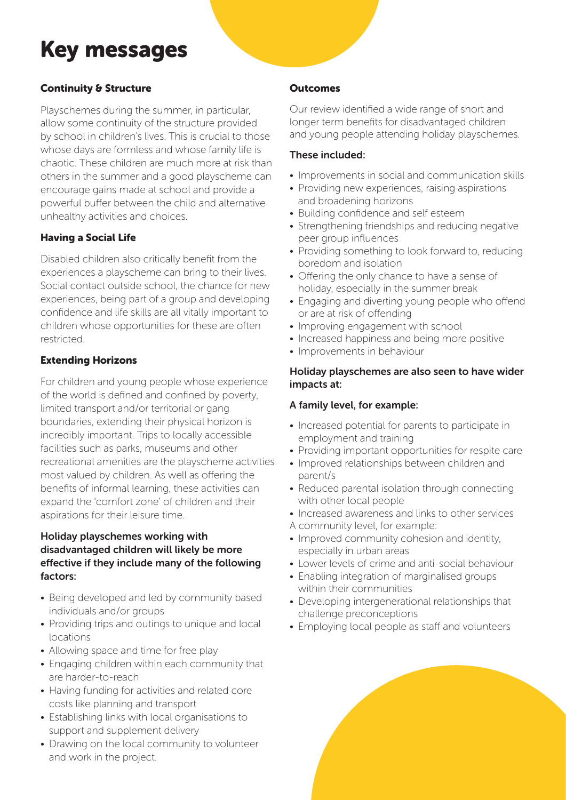# Key messages

# Continuity & Structure

Playschemes during the summer, in particular, allow some continuity of the structure provided by school in children's lives. This is crucial to those whose days are formless and whose family life is chaotic. These children are much more at risk than others in the summer and a good playscheme can encourage gains made at school and provide a powerful buffer between the child and alternative unhealthy activities and choices.

## Having a Social Life

Disabled children also critically benefit from the experiences a playscheme can bring to their lives. Social contact outside school, the chance for new experiences, being part of a group and developing confidence and life skills are all vitally important to children whose opportunities for these are often restricted.

## Extending Horizons

For children and young people whose experience of the world is defined and confined by poverty, limited transport and/or territorial or gang boundaries, extending their physical horizon is incredibly important. Trips to locally accessible facilities such as parks, museums and other recreational amenities are the playscheme activities most valued by children. As well as offering the benefits of informal learning, these activities can expand the 'comfort zone' of children and their aspirations for their leisure time.

#### **Holiday playschemes working with disadvantaged children will likely be more effective if they include many of the following factors:**

- Being developed and led by community based individuals and/or groups
- Providing trips and outings to unique and local locations
- Allowing space and time for free play
- Engaging children within each community that are harder-to-reach
- Having funding for activities and related core costs like planning and transport
- Establishing links with local organisations to support and supplement delivery
- Drawing on the local community to volunteer and work in the project.

#### **Outcomes**

Our review identified a wide range of short and longer term benefits for disadvantaged children and young people attending holiday playschemes.

#### **These included:**

- Improvements in social and communication skills
- Providing new experiences, raising aspirations and broadening horizons
- Building confidence and self esteem
- Strengthening friendships and reducing negative peer group influences
- Providing something to look forward to, reducing boredom and isolation
- Offering the only chance to have a sense of holiday, especially in the summer break
- Engaging and diverting young people who offend or are at risk of offending
- Improving engagement with school
- Increased happiness and being more positive
- Improvements in behaviour

#### **Holiday playschemes are also seen to have wider impacts at:**

#### **A family level, for example:**

- Increased potential for parents to participate in employment and training
- Providing important opportunities for respite care
- Improved relationships between children and parent/s
- Reduced parental isolation through connecting with other local people
- Increased awareness and links to other services
- A community level, for example:
- Improved community cohesion and identity, especially in urban areas
- Lower levels of crime and anti-social behaviour
- Enabling integration of marginalised groups within their communities
- Developing intergenerational relationships that challenge preconceptions
- Employing local people as staff and volunteers

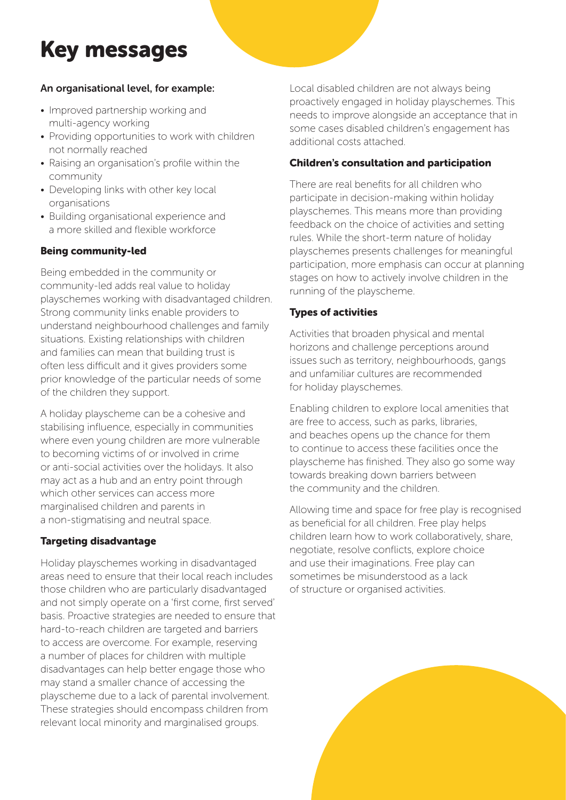# Key messages

## **An organisational level, for example:**

- Improved partnership working and multi-agency working
- Providing opportunities to work with children not normally reached
- Raising an organisation's profile within the community
- Developing links with other key local organisations
- Building organisational experience and a more skilled and flexible workforce

# Being community-led

Being embedded in the community or community-led adds real value to holiday playschemes working with disadvantaged children. Strong community links enable providers to understand neighbourhood challenges and family situations. Existing relationships with children and families can mean that building trust is often less difficult and it gives providers some prior knowledge of the particular needs of some of the children they support.

A holiday playscheme can be a cohesive and stabilising influence, especially in communities where even young children are more vulnerable to becoming victims of or involved in crime or anti-social activities over the holidays. It also may act as a hub and an entry point through which other services can access more marginalised children and parents in a non-stigmatising and neutral space.

#### Targeting disadvantage

Holiday playschemes working in disadvantaged areas need to ensure that their local reach includes those children who are particularly disadvantaged and not simply operate on a 'first come, first served' basis. Proactive strategies are needed to ensure that hard-to-reach children are targeted and barriers to access are overcome. For example, reserving a number of places for children with multiple disadvantages can help better engage those who may stand a smaller chance of accessing the playscheme due to a lack of parental involvement. These strategies should encompass children from relevant local minority and marginalised groups.

Local disabled children are not always being proactively engaged in holiday playschemes. This needs to improve alongside an acceptance that in some cases disabled children's engagement has additional costs attached.

#### Children's consultation and participation

There are real benefits for all children who participate in decision-making within holiday playschemes. This means more than providing feedback on the choice of activities and setting rules. While the short-term nature of holiday playschemes presents challenges for meaningful participation, more emphasis can occur at planning stages on how to actively involve children in the running of the playscheme.

## Types of activities

Activities that broaden physical and mental horizons and challenge perceptions around issues such as territory, neighbourhoods, gangs and unfamiliar cultures are recommended for holiday playschemes.

Enabling children to explore local amenities that are free to access, such as parks, libraries, and beaches opens up the chance for them to continue to access these facilities once the playscheme has finished. They also go some way towards breaking down barriers between the community and the children.

Allowing time and space for free play is recognised as beneficial for all children. Free play helps children learn how to work collaboratively, share, negotiate, resolve conflicts, explore choice and use their imaginations. Free play can sometimes be misunderstood as a lack of structure or organised activities.